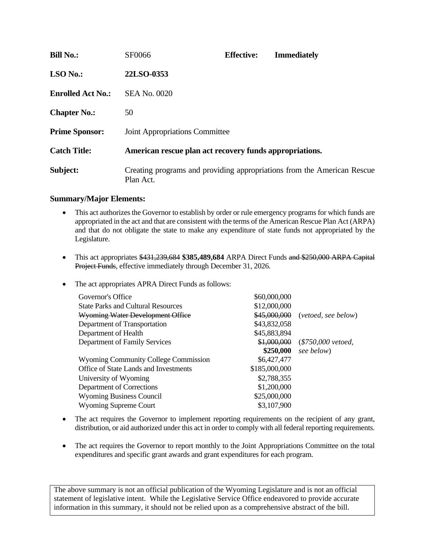| <b>Bill No.:</b>         | SF0066                                                  | <b>Effective:</b> | <b>Immediately</b>                                                      |  |
|--------------------------|---------------------------------------------------------|-------------------|-------------------------------------------------------------------------|--|
| $LSO$ No.:               | 22LSO-0353                                              |                   |                                                                         |  |
| <b>Enrolled Act No.:</b> | SEA No. 0020                                            |                   |                                                                         |  |
| <b>Chapter No.:</b>      | 50                                                      |                   |                                                                         |  |
| <b>Prime Sponsor:</b>    | Joint Appropriations Committee                          |                   |                                                                         |  |
| <b>Catch Title:</b>      | American rescue plan act recovery funds appropriations. |                   |                                                                         |  |
| Subject:                 | Plan Act.                                               |                   | Creating programs and providing appropriations from the American Rescue |  |

## **Summary/Major Elements:**

- This act authorizes the Governor to establish by order or rule emergency programs for which funds are appropriated in the act and that are consistent with the terms of the American Rescue Plan Act (ARPA) and that do not obligate the state to make any expenditure of state funds not appropriated by the Legislature.
- This act appropriates \$431,239,684 **\$385,489,684** ARPA Direct Funds and \$250,000 ARPA Capital Project Funds, effective immediately through December 31, 2026.
- The act appropriates APRA Direct Funds as follows:

| Governor's Office                            | \$60,000,000  |                                  |
|----------------------------------------------|---------------|----------------------------------|
| <b>State Parks and Cultural Resources</b>    | \$12,000,000  |                                  |
| Wyoming Water Development Office             |               | \$45,000,000 (vetoed, see below) |
| Department of Transportation                 | \$43,832,058  |                                  |
| Department of Health                         | \$45,883,894  |                                  |
| Department of Family Services                |               | \$1,000,000 (\$750,000 vetoed,   |
|                                              | \$250,000     | see below)                       |
| <b>Wyoming Community College Commission</b>  | \$6,427,477   |                                  |
| <b>Office of State Lands and Investments</b> | \$185,000,000 |                                  |
| University of Wyoming                        | \$2,788,355   |                                  |
| Department of Corrections                    | \$1,200,000   |                                  |
| <b>Wyoming Business Council</b>              | \$25,000,000  |                                  |
| <b>Wyoming Supreme Court</b>                 | \$3,107,900   |                                  |
|                                              |               |                                  |

- The act requires the Governor to implement reporting requirements on the recipient of any grant, distribution, or aid authorized under this act in order to comply with all federal reporting requirements.
- The act requires the Governor to report monthly to the Joint Appropriations Committee on the total expenditures and specific grant awards and grant expenditures for each program.

The above summary is not an official publication of the Wyoming Legislature and is not an official statement of legislative intent. While the Legislative Service Office endeavored to provide accurate information in this summary, it should not be relied upon as a comprehensive abstract of the bill.